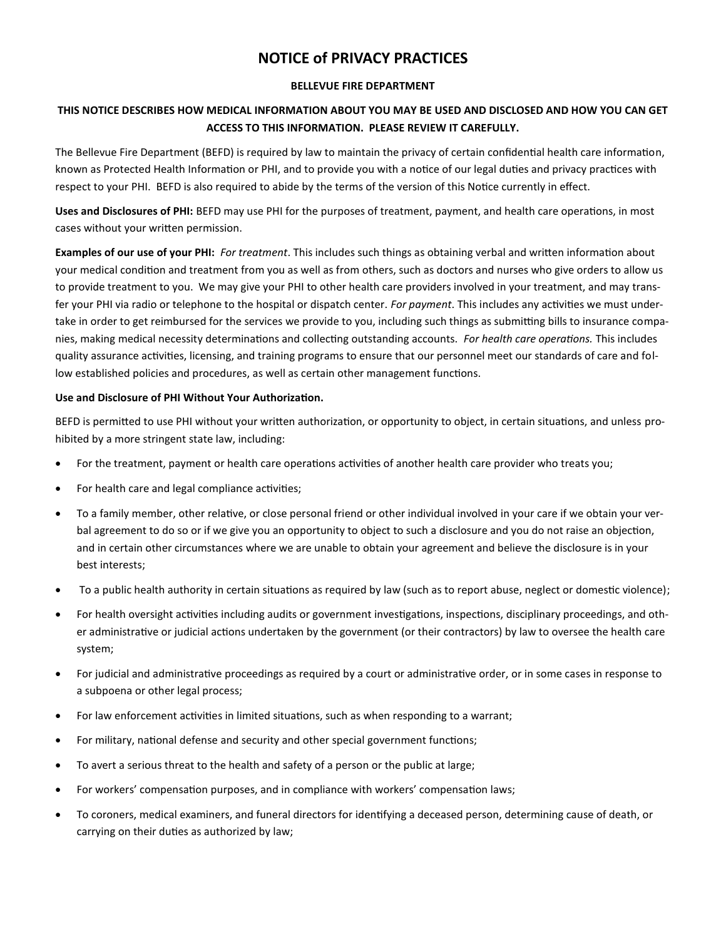# **NOTICE of PRIVACY PRACTICES**

### **BELLEVUE FIRE DEPARTMENT**

## **THIS NOTICE DESCRIBES HOW MEDICAL INFORMATION ABOUT YOU MAY BE USED AND DISCLOSED AND HOW YOU CAN GET ACCESS TO THIS INFORMATION. PLEASE REVIEW IT CAREFULLY.**

The Bellevue Fire Department (BEFD) is required by law to maintain the privacy of certain confidential health care information, known as Protected Health Information or PHI, and to provide you with a notice of our legal duties and privacy practices with respect to your PHI. BEFD is also required to abide by the terms of the version of this Notice currently in effect.

**Uses and Disclosures of PHI:** BEFD may use PHI for the purposes of treatment, payment, and health care operations, in most cases without your written permission.

**Examples of our use of your PHI:** *For treatment*. This includes such things as obtaining verbal and written information about your medical condition and treatment from you as well as from others, such as doctors and nurses who give orders to allow us to provide treatment to you. We may give your PHI to other health care providers involved in your treatment, and may transfer your PHI via radio or telephone to the hospital or dispatch center. *For payment*. This includes any activities we must undertake in order to get reimbursed for the services we provide to you, including such things as submitting bills to insurance companies, making medical necessity determinations and collecting outstanding accounts. *For health care operations.* This includes quality assurance activities, licensing, and training programs to ensure that our personnel meet our standards of care and follow established policies and procedures, as well as certain other management functions.

### **Use and Disclosure of PHI Without Your Authorization.**

BEFD is permitted to use PHI without your written authorization, or opportunity to object, in certain situations, and unless prohibited by a more stringent state law, including:

- For the treatment, payment or health care operations activities of another health care provider who treats you;
- For health care and legal compliance activities;
- To a family member, other relative, or close personal friend or other individual involved in your care if we obtain your verbal agreement to do so or if we give you an opportunity to object to such a disclosure and you do not raise an objection, and in certain other circumstances where we are unable to obtain your agreement and believe the disclosure is in your best interests;
- To a public health authority in certain situations as required by law (such as to report abuse, neglect or domestic violence);
- For health oversight activities including audits or government investigations, inspections, disciplinary proceedings, and other administrative or judicial actions undertaken by the government (or their contractors) by law to oversee the health care system;
- For judicial and administrative proceedings as required by a court or administrative order, or in some cases in response to a subpoena or other legal process;
- For law enforcement activities in limited situations, such as when responding to a warrant;
- For military, national defense and security and other special government functions;
- To avert a serious threat to the health and safety of a person or the public at large;
- For workers' compensation purposes, and in compliance with workers' compensation laws;
- To coroners, medical examiners, and funeral directors for identifying a deceased person, determining cause of death, or carrying on their duties as authorized by law;